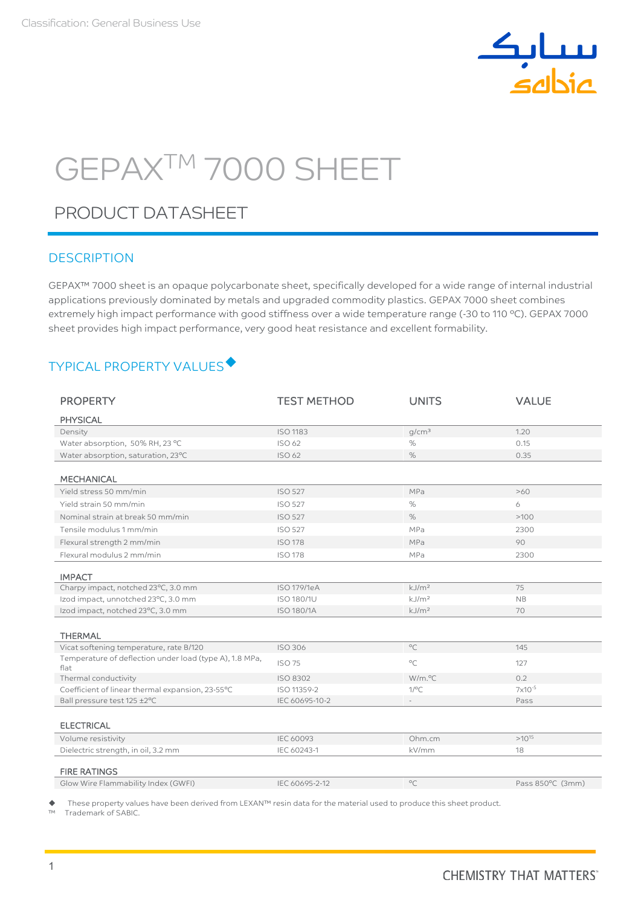

# GEPAXTM 7000 SHEET

# PRODUCT DATASHEET

### **DESCRIPTION**

GEPAX™ 7000 sheet is an opaque polycarbonate sheet, specifically developed for a wide range of internal industrial applications previously dominated by metals and upgraded commodity plastics. GEPAX 7000 sheet combines extremely high impact performance with good stiffness over a wide temperature range (-30 to 110 ºC). GEPAX 7000 sheet provides high impact performance, very good heat resistance and excellent formability.

## TYPICAL PROPERTY VALUES

| <b>PHYSICAL</b>                                                                                         |  |
|---------------------------------------------------------------------------------------------------------|--|
|                                                                                                         |  |
| q/cm <sup>3</sup><br><b>ISO 1183</b><br>1.20<br>Density                                                 |  |
| $\%$<br>Water absorption, 50% RH, 23 °C<br>ISO 62<br>0.15                                               |  |
| $\%$<br>Water absorption, saturation, 23°C<br>ISO 62<br>0.35                                            |  |
|                                                                                                         |  |
| <b>MECHANICAL</b>                                                                                       |  |
| Yield stress 50 mm/min<br><b>ISO 527</b><br>MPa<br>>60                                                  |  |
| Yield strain 50 mm/min<br><b>ISO 527</b><br>%<br>6                                                      |  |
| %<br>Nominal strain at break 50 mm/min<br><b>ISO 527</b><br>>100                                        |  |
| Tensile modulus 1 mm/min<br><b>ISO 527</b><br>MPa<br>2300                                               |  |
| Flexural strength 2 mm/min<br><b>ISO 178</b><br>MPa<br>90                                               |  |
| Flexural modulus 2 mm/min<br><b>ISO 178</b><br>MPa<br>2300                                              |  |
|                                                                                                         |  |
| <b>IMPACT</b>                                                                                           |  |
| Charpy impact, notched 23°C, 3.0 mm<br><b>ISO 179/1eA</b><br>kJ/m <sup>2</sup><br>75                    |  |
| kJ/m <sup>2</sup><br>Izod impact, unnotched 23°C, 3.0 mm<br><b>ISO 180/1U</b><br><b>NB</b>              |  |
| Izod impact, notched 23°C, 3.0 mm<br>kJ/m <sup>2</sup><br><b>ISO 180/1A</b><br>70                       |  |
|                                                                                                         |  |
| <b>THERMAL</b>                                                                                          |  |
| $\circ$ C<br>Vicat softening temperature, rate B/120<br><b>ISO 306</b><br>145                           |  |
| Temperature of deflection under load (type A), 1.8 MPa,<br>$^{\circ}$ C<br><b>ISO 75</b><br>127<br>flat |  |
| Thermal conductivity<br>W/m.°C<br>0.2<br><b>ISO 8302</b>                                                |  |
| Coefficient of linear thermal expansion, 23-55°C<br>$1$ /°C<br>$7x10^{-5}$<br>ISO 11359-2               |  |
| Ball pressure test 125 ±2°C<br>IEC 60695-10-2<br>Pass                                                   |  |
|                                                                                                         |  |
| <b>ELECTRICAL</b>                                                                                       |  |
| $>10^{15}$<br>Volume resistivity<br><b>IEC 60093</b><br>Ohm.cm                                          |  |
| Dielectric strength, in oil, 3.2 mm<br>IEC 60243-1<br>kV/mm<br>18                                       |  |
| <b>FIRE RATINGS</b>                                                                                     |  |
| $^{\circ}$ C<br>Glow Wire Flammability Index (GWFI)<br>IEC 60695-2-12<br>Pass 850°C (3mm)               |  |

These property values have been derived from LEXAN™ resin data for the material used to produce this sheet product.

Trademark of SABIC.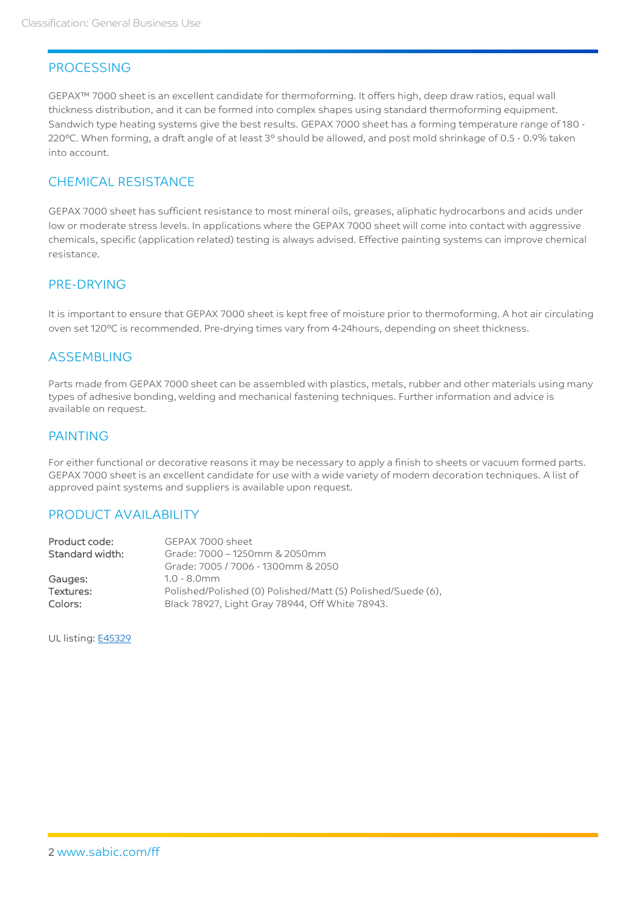## **PROCESSING**

GEPAX™ 7000 sheet is an excellent candidate for thermoforming. It offers high, deep draw ratios, equal wall thickness distribution, and it can be formed into complex shapes using standard thermoforming equipment. Sandwich type heating systems give the best results. GEPAX 7000 sheet has a forming temperature range of 180 - 220ºC. When forming, a draft angle of at least 3º should be allowed, and post mold shrinkage of 0.5 - 0.9% taken into account.

## CHEMICAL RESISTANCE

GEPAX 7000 sheet has sufficient resistance to most mineral oils, greases, aliphatic hydrocarbons and acids under low or moderate stress levels. In applications where the GEPAX 7000 sheet will come into contact with aggressive chemicals, specific (application related) testing is always advised. Effective painting systems can improve chemical resistance.

## PRE-DRYING

It is important to ensure that GEPAX 7000 sheet is kept free of moisture prior to thermoforming. A hot air circulating oven set 120ºC is recommended. Pre-drying times vary from 4-24hours, depending on sheet thickness.

### ASSEMBLING

Parts made from GEPAX 7000 sheet can be assembled with plastics, metals, rubber and other materials using many types of adhesive bonding, welding and mechanical fastening techniques. Further information and advice is available on request.

#### PAINTING

For either functional or decorative reasons it may be necessary to apply a finish to sheets or vacuum formed parts. GEPAX 7000 sheet is an excellent candidate for use with a wide variety of modern decoration techniques. A list of approved paint systems and suppliers is available upon request.

#### PRODUCT AVAILABILITY

| Product code:   | GEPAX 7000 sheet                                            |
|-----------------|-------------------------------------------------------------|
| Standard width: | Grade: 7000 - 1250mm & 2050mm                               |
|                 | Grade: 7005 / 7006 - 1300mm & 2050                          |
| Gauges:         | $1.0 - 8.0$ mm                                              |
| Textures:       | Polished/Polished (0) Polished/Matt (5) Polished/Suede (6), |
| Colors:         | Black 78927, Light Gray 78944, Off White 78943.             |

UL listing: **E45329**